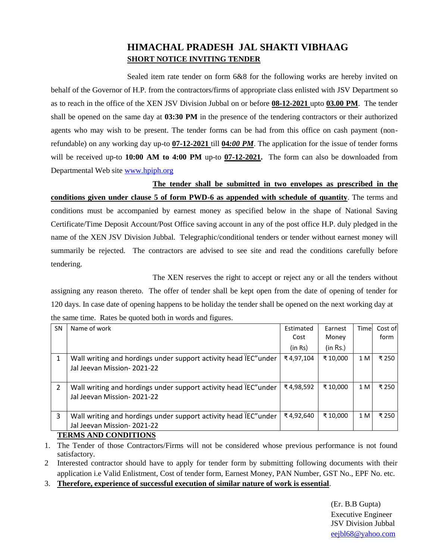## **HIMACHAL PRADESH JAL SHAKTI VIBHAAG SHORT NOTICE INVITING TENDER**

Sealed item rate tender on form 6&8 for the following works are hereby invited on behalf of the Governor of H.P. from the contractors/firms of appropriate class enlisted with JSV Department so as to reach in the office of the XEN JSV Division Jubbal on or before **08-12-2021** upto **03.00 PM**. The tender shall be opened on the same day at **03:30 PM** in the presence of the tendering contractors or their authorized agents who may wish to be present. The tender forms can be had from this office on cash payment (nonrefundable) on any working day up-to **07-12-2021** till **04***:00 PM*. The application for the issue of tender forms will be received up-to **10:00 AM to 4:00 PM** up-to **07-12-2021.** The form can also be downloaded from Departmental Web site [www.hpiph.org](http://www.hpiph.org/)

**The tender shall be submitted in two envelopes as prescribed in the conditions given under clause 5 of form PWD-6 as appended with schedule of quantity**. The terms and conditions must be accompanied by earnest money as specified below in the shape of National Saving Certificate/Time Deposit Account/Post Office saving account in any of the post office H.P. duly pledged in the name of the XEN JSV Division Jubbal. Telegraphic/conditional tenders or tender without earnest money will summarily be rejected. The contractors are advised to see site and read the conditions carefully before tendering.

The XEN reserves the right to accept or reject any or all the tenders without assigning any reason thereto. The offer of tender shall be kept open from the date of opening of tender for 120 days. In case date of opening happens to be holiday the tender shall be opened on the next working day at the same time. Rates be quoted both in words and figures.

| <b>SN</b>                    | Name of work                                                                                   | Estimated | Earnest  | Time | Cost of |
|------------------------------|------------------------------------------------------------------------------------------------|-----------|----------|------|---------|
|                              |                                                                                                | Cost      | Money    |      | form    |
|                              |                                                                                                | (in Rs)   | (in Rs.) |      |         |
|                              | Wall writing and hordings under support activity head IEC" under<br>Jal Jeevan Mission-2021-22 | ₹4,97,104 | ₹ 10,000 | 1 M  | ₹250    |
| $\overline{2}$               | Wall writing and hordings under support activity head IEC" under<br>Jal Jeevan Mission-2021-22 | ₹4,98,592 | ₹10,000  | 1 M  | ₹250    |
| 3                            | Wall writing and hordings under support activity head IEC" under                               | ₹4,92,640 | ₹10.000  | 1 M  | ₹250    |
|                              | Jal Jeevan Mission-2021-22                                                                     |           |          |      |         |
| <b>TEDILO IND CONDITIONS</b> |                                                                                                |           |          |      |         |

## **TERMS AND CONDITIONS**

1. The Tender of those Contractors/Firms will not be considered whose previous performance is not found satisfactory.

2 Interested contractor should have to apply for tender form by submitting following documents with their application i.e Valid Enlistment, Cost of tender form, Earnest Money, PAN Number, GST No., EPF No. etc.

3. **Therefore, experience of successful execution of similar nature of work is essential**.

(Er. B.B Gupta) Executive Engineer JSV Division Jubbal [eejbl68@yahoo.com](mailto:eejbl68@yahoo.com)